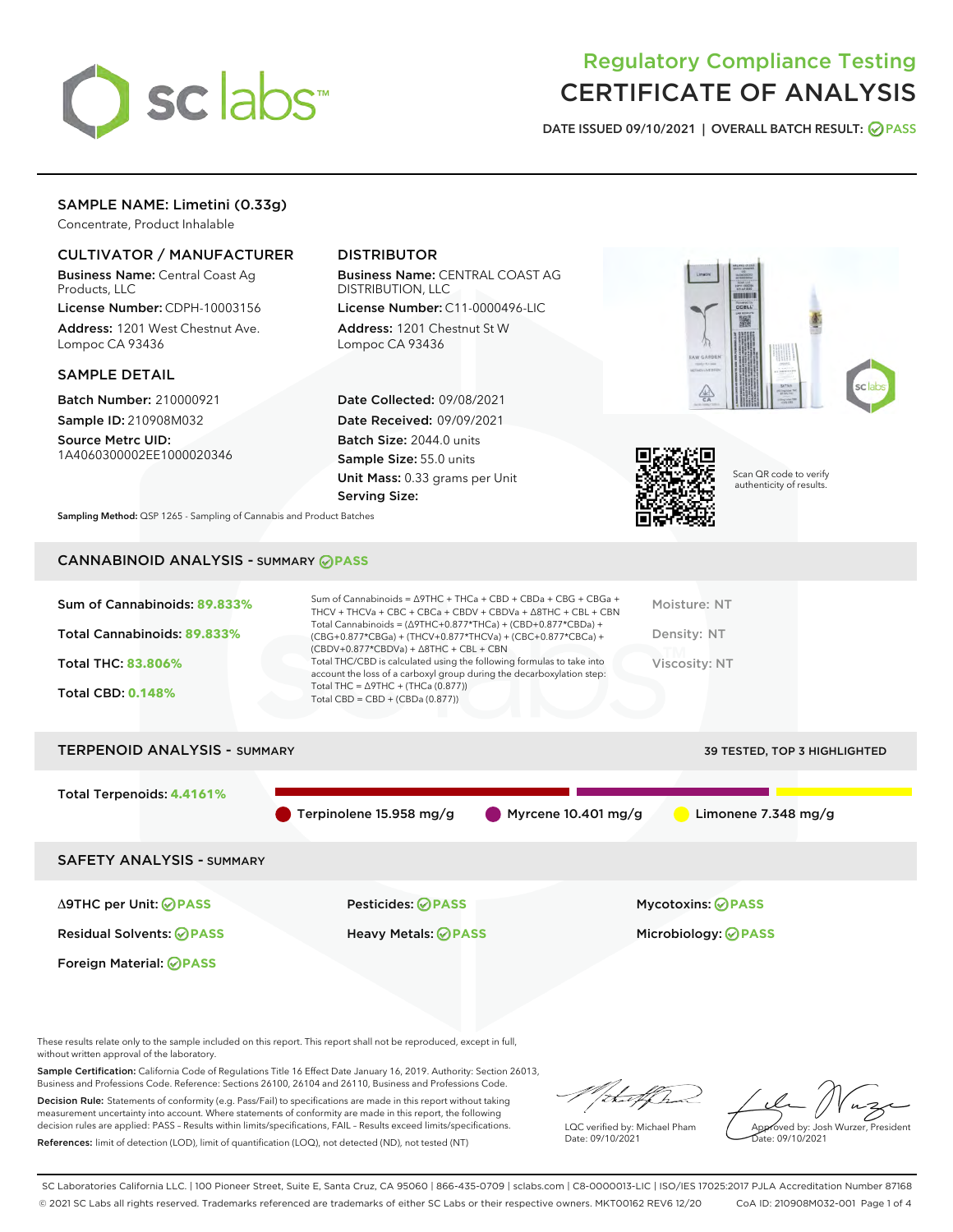

## Regulatory Compliance Testing CERTIFICATE OF ANALYSIS

DATE ISSUED 09/10/2021 | OVERALL BATCH RESULT: @ PASS

## SAMPLE NAME: Limetini (0.33g)

Concentrate, Product Inhalable

### CULTIVATOR / MANUFACTURER

Business Name: Central Coast Ag Products, LLC

License Number: CDPH-10003156 Address: 1201 West Chestnut Ave. Lompoc CA 93436

#### SAMPLE DETAIL

Batch Number: 210000921 Sample ID: 210908M032

Source Metrc UID: 1A4060300002EE1000020346

## DISTRIBUTOR

Business Name: CENTRAL COAST AG DISTRIBUTION, LLC

License Number: C11-0000496-LIC Address: 1201 Chestnut St W Lompoc CA 93436

Date Collected: 09/08/2021 Date Received: 09/09/2021 Batch Size: 2044.0 units Sample Size: 55.0 units Unit Mass: 0.33 grams per Unit Serving Size:





Scan QR code to verify authenticity of results.

Sampling Method: QSP 1265 - Sampling of Cannabis and Product Batches

## CANNABINOID ANALYSIS - SUMMARY **PASS**

| Sum of Cannabinoids: 89.833% | Sum of Cannabinoids = $\triangle$ 9THC + THCa + CBD + CBDa + CBG + CBGa +<br>THCV + THCVa + CBC + CBCa + CBDV + CBDVa + $\Delta$ 8THC + CBL + CBN                                    | Moisture: NT  |
|------------------------------|--------------------------------------------------------------------------------------------------------------------------------------------------------------------------------------|---------------|
| Total Cannabinoids: 89.833%  | Total Cannabinoids = $(\Delta$ 9THC+0.877*THCa) + (CBD+0.877*CBDa) +<br>(CBG+0.877*CBGa) + (THCV+0.877*THCVa) + (CBC+0.877*CBCa) +<br>$(CBDV+0.877*CBDVa) + \Delta 8THC + CBL + CBN$ | Density: NT   |
| <b>Total THC: 83.806%</b>    | Total THC/CBD is calculated using the following formulas to take into<br>account the loss of a carboxyl group during the decarboxylation step:                                       | Viscosity: NT |
| <b>Total CBD: 0.148%</b>     | Total THC = $\triangle$ 9THC + (THCa (0.877))<br>Total CBD = $CBD + (CBDa (0.877))$                                                                                                  |               |
|                              |                                                                                                                                                                                      |               |

# TERPENOID ANALYSIS - SUMMARY 39 TESTED, TOP 3 HIGHLIGHTED Total Terpenoids: **4.4161%** Terpinolene 15.958 mg/g Myrcene 10.401 mg/g Limonene 7.348 mg/g SAFETY ANALYSIS - SUMMARY Δ9THC per Unit: **PASS** Pesticides: **PASS** Mycotoxins: **PASS**

Foreign Material: **PASS**

Residual Solvents: **PASS** Heavy Metals: **PASS** Microbiology: **PASS**

These results relate only to the sample included on this report. This report shall not be reproduced, except in full, without written approval of the laboratory.

Sample Certification: California Code of Regulations Title 16 Effect Date January 16, 2019. Authority: Section 26013, Business and Professions Code. Reference: Sections 26100, 26104 and 26110, Business and Professions Code.

Decision Rule: Statements of conformity (e.g. Pass/Fail) to specifications are made in this report without taking measurement uncertainty into account. Where statements of conformity are made in this report, the following decision rules are applied: PASS – Results within limits/specifications, FAIL – Results exceed limits/specifications. References: limit of detection (LOD), limit of quantification (LOQ), not detected (ND), not tested (NT)

LQC verified by: Michael Pham Date: 09/10/2021

Approved by: Josh Wurzer, President ate: 09/10/2021

SC Laboratories California LLC. | 100 Pioneer Street, Suite E, Santa Cruz, CA 95060 | 866-435-0709 | sclabs.com | C8-0000013-LIC | ISO/IES 17025:2017 PJLA Accreditation Number 87168 © 2021 SC Labs all rights reserved. Trademarks referenced are trademarks of either SC Labs or their respective owners. MKT00162 REV6 12/20 CoA ID: 210908M032-001 Page 1 of 4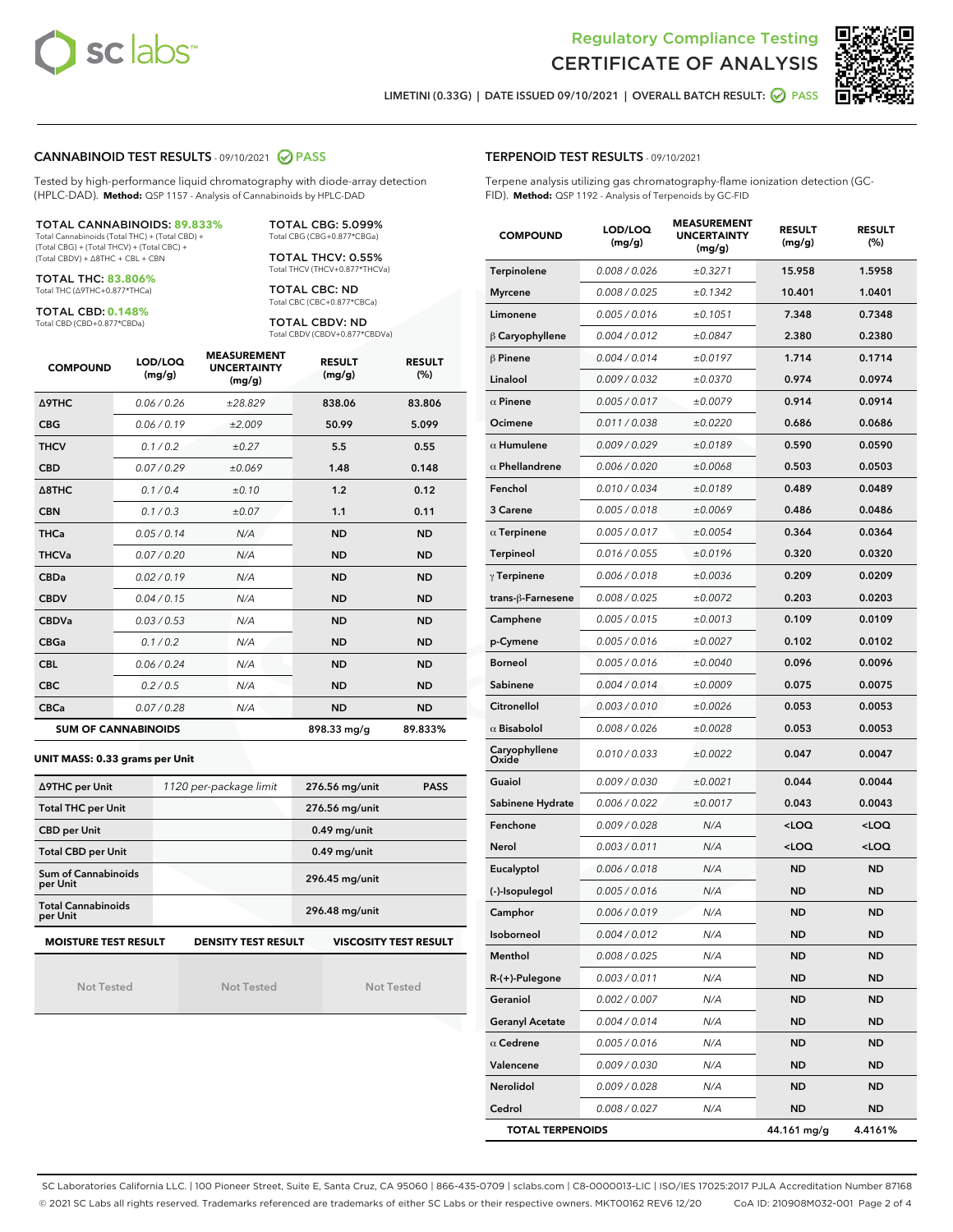



LIMETINI (0.33G) | DATE ISSUED 09/10/2021 | OVERALL BATCH RESULT: ⊘ PASS

#### CANNABINOID TEST RESULTS - 09/10/2021 2 PASS

Tested by high-performance liquid chromatography with diode-array detection (HPLC-DAD). **Method:** QSP 1157 - Analysis of Cannabinoids by HPLC-DAD

#### TOTAL CANNABINOIDS: **89.833%**

Total Cannabinoids (Total THC) + (Total CBD) + (Total CBG) + (Total THCV) + (Total CBC) + (Total CBDV) + ∆8THC + CBL + CBN

TOTAL THC: **83.806%** Total THC (∆9THC+0.877\*THCa)

TOTAL CBD: **0.148%**

Total CBD (CBD+0.877\*CBDa)

TOTAL CBG: 5.099% Total CBG (CBG+0.877\*CBGa)

TOTAL THCV: 0.55% Total THCV (THCV+0.877\*THCVa)

TOTAL CBC: ND Total CBC (CBC+0.877\*CBCa)

TOTAL CBDV: ND Total CBDV (CBDV+0.877\*CBDVa)

| <b>COMPOUND</b>  | LOD/LOQ<br>(mg/g)          | <b>MEASUREMENT</b><br><b>UNCERTAINTY</b><br>(mg/g) | <b>RESULT</b><br>(mg/g) | <b>RESULT</b><br>(%) |
|------------------|----------------------------|----------------------------------------------------|-------------------------|----------------------|
| <b>A9THC</b>     | 0.06 / 0.26                | ±28.829                                            | 838.06                  | 83.806               |
| <b>CBG</b>       | 0.06/0.19                  | ±2.009                                             | 50.99                   | 5.099                |
| <b>THCV</b>      | 0.1/0.2                    | ±0.27                                              | 5.5                     | 0.55                 |
| <b>CBD</b>       | 0.07/0.29                  | ±0.069                                             | 1.48                    | 0.148                |
| $\triangle$ 8THC | 0.1/0.4                    | ±0.10                                              | 1.2                     | 0.12                 |
| <b>CBN</b>       | 0.1/0.3                    | ±0.07                                              | 1.1                     | 0.11                 |
| <b>THCa</b>      | 0.05/0.14                  | N/A                                                | <b>ND</b>               | <b>ND</b>            |
| <b>THCVa</b>     | 0.07/0.20                  | N/A                                                | <b>ND</b>               | <b>ND</b>            |
| <b>CBDa</b>      | 0.02/0.19                  | N/A                                                | <b>ND</b>               | <b>ND</b>            |
| <b>CBDV</b>      | 0.04/0.15                  | N/A                                                | <b>ND</b>               | <b>ND</b>            |
| <b>CBDVa</b>     | 0.03/0.53                  | N/A                                                | <b>ND</b>               | <b>ND</b>            |
| <b>CBGa</b>      | 0.1 / 0.2                  | N/A                                                | <b>ND</b>               | <b>ND</b>            |
| <b>CBL</b>       | 0.06 / 0.24                | N/A                                                | <b>ND</b>               | <b>ND</b>            |
| <b>CBC</b>       | 0.2 / 0.5                  | N/A                                                | <b>ND</b>               | <b>ND</b>            |
| <b>CBCa</b>      | 0.07/0.28                  | N/A                                                | <b>ND</b>               | <b>ND</b>            |
|                  | <b>SUM OF CANNABINOIDS</b> |                                                    | 898.33 mg/g             | 89.833%              |

#### **UNIT MASS: 0.33 grams per Unit**

| ∆9THC per Unit                        | 1120 per-package limit     | 276.56 mg/unit<br><b>PASS</b> |
|---------------------------------------|----------------------------|-------------------------------|
| <b>Total THC per Unit</b>             |                            | 276.56 mg/unit                |
| <b>CBD per Unit</b>                   |                            | $0.49$ mg/unit                |
| <b>Total CBD per Unit</b>             |                            | $0.49$ mg/unit                |
| Sum of Cannabinoids<br>per Unit       |                            | 296.45 mg/unit                |
| <b>Total Cannabinoids</b><br>per Unit |                            | 296.48 mg/unit                |
| <b>MOISTURE TEST RESULT</b>           | <b>DENSITY TEST RESULT</b> | <b>VISCOSITY TEST RESULT</b>  |

Not Tested

Not Tested

Not Tested

#### TERPENOID TEST RESULTS - 09/10/2021

Terpene analysis utilizing gas chromatography-flame ionization detection (GC-FID). **Method:** QSP 1192 - Analysis of Terpenoids by GC-FID

| <b>COMPOUND</b>         | LOD/LOQ<br>(mg/g) | <b>MEASUREMENT</b><br><b>UNCERTAINTY</b><br>(mg/g) | <b>RESULT</b><br>(mg/g)                         | <b>RESULT</b><br>(%) |
|-------------------------|-------------------|----------------------------------------------------|-------------------------------------------------|----------------------|
| Terpinolene             | 0.008 / 0.026     | ±0.3271                                            | 15.958                                          | 1.5958               |
| <b>Myrcene</b>          | 0.008 / 0.025     | ±0.1342                                            | 10.401                                          | 1.0401               |
| Limonene                | 0.005 / 0.016     | ±0.1051                                            | 7.348                                           | 0.7348               |
| $\beta$ Caryophyllene   | 0.004 / 0.012     | ±0.0847                                            | 2.380                                           | 0.2380               |
| $\beta$ Pinene          | 0.004 / 0.014     | ±0.0197                                            | 1.714                                           | 0.1714               |
| Linalool                | 0.009 / 0.032     | ±0.0370                                            | 0.974                                           | 0.0974               |
| $\alpha$ Pinene         | 0.005 / 0.017     | ±0.0079                                            | 0.914                                           | 0.0914               |
| Ocimene                 | 0.011 / 0.038     | ±0.0220                                            | 0.686                                           | 0.0686               |
| $\alpha$ Humulene       | 0.009/0.029       | ±0.0189                                            | 0.590                                           | 0.0590               |
| $\alpha$ Phellandrene   | 0.006 / 0.020     | ±0.0068                                            | 0.503                                           | 0.0503               |
| Fenchol                 | 0.010 / 0.034     | ±0.0189                                            | 0.489                                           | 0.0489               |
| 3 Carene                | 0.005 / 0.018     | ±0.0069                                            | 0.486                                           | 0.0486               |
| $\alpha$ Terpinene      | 0.005 / 0.017     | ±0.0054                                            | 0.364                                           | 0.0364               |
| Terpineol               | 0.016 / 0.055     | ±0.0196                                            | 0.320                                           | 0.0320               |
| $\gamma$ Terpinene      | 0.006 / 0.018     | ±0.0036                                            | 0.209                                           | 0.0209               |
| trans-ß-Farnesene       | 0.008 / 0.025     | ±0.0072                                            | 0.203                                           | 0.0203               |
| Camphene                | 0.005 / 0.015     | ±0.0013                                            | 0.109                                           | 0.0109               |
| p-Cymene                | 0.005 / 0.016     | ±0.0027                                            | 0.102                                           | 0.0102               |
| <b>Borneol</b>          | 0.005 / 0.016     | ±0.0040                                            | 0.096                                           | 0.0096               |
| Sabinene                | 0.004 / 0.014     | ±0.0009                                            | 0.075                                           | 0.0075               |
| Citronellol             | 0.003 / 0.010     | ±0.0026                                            | 0.053                                           | 0.0053               |
| $\alpha$ Bisabolol      | 0.008 / 0.026     | ±0.0028                                            | 0.053                                           | 0.0053               |
| Caryophyllene<br>Oxide  | 0.010 / 0.033     | ±0.0022                                            | 0.047                                           | 0.0047               |
| Guaiol                  | 0.009 / 0.030     | ±0.0021                                            | 0.044                                           | 0.0044               |
| Sabinene Hydrate        | 0.006 / 0.022     | ±0.0017                                            | 0.043                                           | 0.0043               |
| Fenchone                | 0.009 / 0.028     | N/A                                                | <loq< th=""><th><loq< th=""></loq<></th></loq<> | <loq< th=""></loq<>  |
| Nerol                   | 0.003 / 0.011     | N/A                                                | <loq< th=""><th><loq< th=""></loq<></th></loq<> | <loq< th=""></loq<>  |
| Eucalyptol              | 0.006 / 0.018     | N/A                                                | <b>ND</b>                                       | <b>ND</b>            |
| (-)-Isopulegol          | 0.005 / 0.016     | N/A                                                | ND                                              | <b>ND</b>            |
| Camphor                 | 0.006 / 0.019     | N/A                                                | <b>ND</b>                                       | ND                   |
| Isoborneol              | 0.004 / 0.012     | N/A                                                | ND                                              | <b>ND</b>            |
| Menthol                 | 0.008 / 0.025     | N/A                                                | ND                                              | ND                   |
| $R-(+)$ -Pulegone       | 0.003 / 0.011     | N/A                                                | ND                                              | <b>ND</b>            |
| Geraniol                | 0.002 / 0.007     | N/A                                                | <b>ND</b>                                       | <b>ND</b>            |
| <b>Geranyl Acetate</b>  | 0.004 / 0.014     | N/A                                                | ND                                              | ND                   |
| $\alpha$ Cedrene        | 0.005 / 0.016     | N/A                                                | ND                                              | ND                   |
| Valencene               | 0.009 / 0.030     | N/A                                                | <b>ND</b>                                       | <b>ND</b>            |
| Nerolidol               | 0.009 / 0.028     | N/A                                                | ND                                              | ND                   |
| Cedrol                  | 0.008 / 0.027     | N/A                                                | ND                                              | <b>ND</b>            |
| <b>TOTAL TERPENOIDS</b> |                   |                                                    | 44.161 mg/g                                     | 4.4161%              |

SC Laboratories California LLC. | 100 Pioneer Street, Suite E, Santa Cruz, CA 95060 | 866-435-0709 | sclabs.com | C8-0000013-LIC | ISO/IES 17025:2017 PJLA Accreditation Number 87168 © 2021 SC Labs all rights reserved. Trademarks referenced are trademarks of either SC Labs or their respective owners. MKT00162 REV6 12/20 CoA ID: 210908M032-001 Page 2 of 4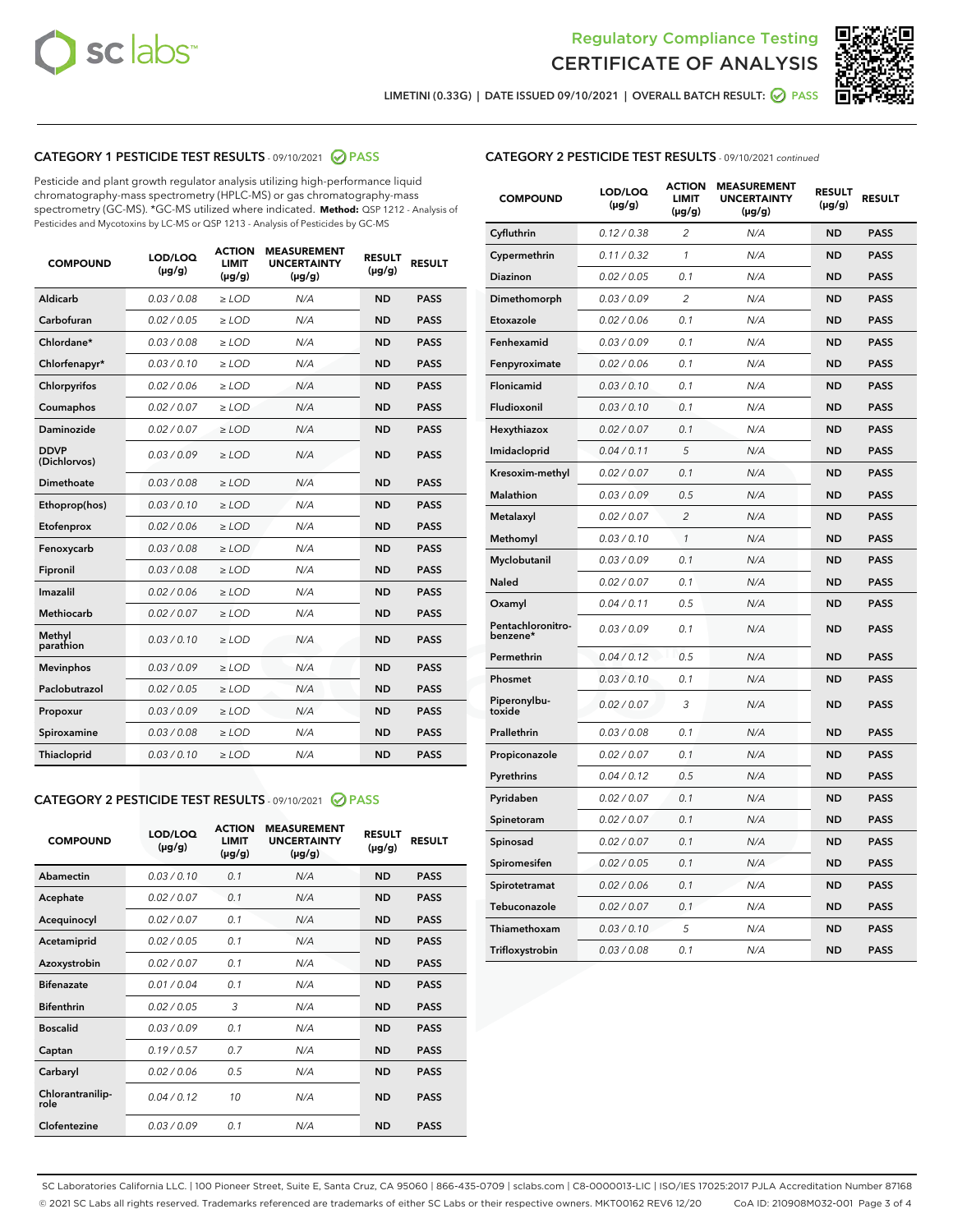



LIMETINI (0.33G) | DATE ISSUED 09/10/2021 | OVERALL BATCH RESULT: ☑ PASS

## CATEGORY 1 PESTICIDE TEST RESULTS - 09/10/2021 2 PASS

Pesticide and plant growth regulator analysis utilizing high-performance liquid chromatography-mass spectrometry (HPLC-MS) or gas chromatography-mass spectrometry (GC-MS). \*GC-MS utilized where indicated. **Method:** QSP 1212 - Analysis of Pesticides and Mycotoxins by LC-MS or QSP 1213 - Analysis of Pesticides by GC-MS

| <b>COMPOUND</b>             | LOD/LOQ<br>$(\mu g/g)$ | <b>ACTION</b><br><b>LIMIT</b><br>$(\mu q/q)$ | <b>MEASUREMENT</b><br><b>UNCERTAINTY</b><br>$(\mu g/g)$ | <b>RESULT</b><br>$(\mu g/g)$ | <b>RESULT</b> |
|-----------------------------|------------------------|----------------------------------------------|---------------------------------------------------------|------------------------------|---------------|
| Aldicarb                    | 0.03 / 0.08            | $\ge$ LOD                                    | N/A                                                     | <b>ND</b>                    | <b>PASS</b>   |
| Carbofuran                  | 0.02 / 0.05            | $\geq$ LOD                                   | N/A                                                     | <b>ND</b>                    | <b>PASS</b>   |
| Chlordane*                  | 0.03 / 0.08            | $\ge$ LOD                                    | N/A                                                     | <b>ND</b>                    | <b>PASS</b>   |
| Chlorfenapyr*               | 0.03/0.10              | $\geq$ LOD                                   | N/A                                                     | <b>ND</b>                    | <b>PASS</b>   |
| Chlorpyrifos                | 0.02 / 0.06            | $\ge$ LOD                                    | N/A                                                     | <b>ND</b>                    | <b>PASS</b>   |
| Coumaphos                   | 0.02 / 0.07            | $\ge$ LOD                                    | N/A                                                     | <b>ND</b>                    | <b>PASS</b>   |
| Daminozide                  | 0.02 / 0.07            | $\ge$ LOD                                    | N/A                                                     | <b>ND</b>                    | <b>PASS</b>   |
| <b>DDVP</b><br>(Dichlorvos) | 0.03/0.09              | $\ge$ LOD                                    | N/A                                                     | <b>ND</b>                    | <b>PASS</b>   |
| Dimethoate                  | 0.03 / 0.08            | $\ge$ LOD                                    | N/A                                                     | <b>ND</b>                    | <b>PASS</b>   |
| Ethoprop(hos)               | 0.03/0.10              | $\ge$ LOD                                    | N/A                                                     | <b>ND</b>                    | <b>PASS</b>   |
| Etofenprox                  | 0.02/0.06              | $>$ LOD                                      | N/A                                                     | <b>ND</b>                    | <b>PASS</b>   |
| Fenoxycarb                  | 0.03 / 0.08            | $\ge$ LOD                                    | N/A                                                     | <b>ND</b>                    | <b>PASS</b>   |
| Fipronil                    | 0.03/0.08              | $>$ LOD                                      | N/A                                                     | <b>ND</b>                    | <b>PASS</b>   |
| Imazalil                    | 0.02 / 0.06            | $\ge$ LOD                                    | N/A                                                     | <b>ND</b>                    | <b>PASS</b>   |
| Methiocarb                  | 0.02 / 0.07            | $\ge$ LOD                                    | N/A                                                     | <b>ND</b>                    | <b>PASS</b>   |
| Methyl<br>parathion         | 0.03/0.10              | $>$ LOD                                      | N/A                                                     | <b>ND</b>                    | <b>PASS</b>   |
| <b>Mevinphos</b>            | 0.03/0.09              | $>$ LOD                                      | N/A                                                     | <b>ND</b>                    | <b>PASS</b>   |
| Paclobutrazol               | 0.02 / 0.05            | $>$ LOD                                      | N/A                                                     | <b>ND</b>                    | <b>PASS</b>   |
| Propoxur                    | 0.03/0.09              | $\ge$ LOD                                    | N/A                                                     | <b>ND</b>                    | <b>PASS</b>   |
| Spiroxamine                 | 0.03 / 0.08            | $\ge$ LOD                                    | N/A                                                     | <b>ND</b>                    | <b>PASS</b>   |
| Thiacloprid                 | 0.03/0.10              | $\ge$ LOD                                    | N/A                                                     | <b>ND</b>                    | <b>PASS</b>   |

#### CATEGORY 2 PESTICIDE TEST RESULTS - 09/10/2021 @ PASS

| <b>COMPOUND</b>          | LOD/LOQ<br>$(\mu g/g)$ | <b>ACTION</b><br><b>LIMIT</b><br>$(\mu g/g)$ | <b>MEASUREMENT</b><br><b>UNCERTAINTY</b><br>$(\mu g/g)$ | <b>RESULT</b><br>$(\mu g/g)$ | <b>RESULT</b> |
|--------------------------|------------------------|----------------------------------------------|---------------------------------------------------------|------------------------------|---------------|
| Abamectin                | 0.03/0.10              | 0.1                                          | N/A                                                     | <b>ND</b>                    | <b>PASS</b>   |
| Acephate                 | 0.02/0.07              | 0.1                                          | N/A                                                     | <b>ND</b>                    | <b>PASS</b>   |
| Acequinocyl              | 0.02/0.07              | 0.1                                          | N/A                                                     | <b>ND</b>                    | <b>PASS</b>   |
| Acetamiprid              | 0.02/0.05              | 0.1                                          | N/A                                                     | <b>ND</b>                    | <b>PASS</b>   |
| Azoxystrobin             | 0.02/0.07              | 0.1                                          | N/A                                                     | <b>ND</b>                    | <b>PASS</b>   |
| <b>Bifenazate</b>        | 0.01/0.04              | 0.1                                          | N/A                                                     | <b>ND</b>                    | <b>PASS</b>   |
| <b>Bifenthrin</b>        | 0.02 / 0.05            | 3                                            | N/A                                                     | <b>ND</b>                    | <b>PASS</b>   |
| <b>Boscalid</b>          | 0.03/0.09              | 0.1                                          | N/A                                                     | <b>ND</b>                    | <b>PASS</b>   |
| Captan                   | 0.19/0.57              | 0.7                                          | N/A                                                     | <b>ND</b>                    | <b>PASS</b>   |
| Carbaryl                 | 0.02/0.06              | 0.5                                          | N/A                                                     | <b>ND</b>                    | <b>PASS</b>   |
| Chlorantranilip-<br>role | 0.04/0.12              | 10                                           | N/A                                                     | <b>ND</b>                    | <b>PASS</b>   |
| Clofentezine             | 0.03/0.09              | 0.1                                          | N/A                                                     | <b>ND</b>                    | <b>PASS</b>   |

#### CATEGORY 2 PESTICIDE TEST RESULTS - 09/10/2021 continued

| <b>COMPOUND</b>               | LOD/LOQ<br>(µg/g) | <b>ACTION</b><br>LIMIT<br>$(\mu g/g)$ | <b>MEASUREMENT</b><br><b>UNCERTAINTY</b><br>(µg/g) | <b>RESULT</b><br>$(\mu g/g)$ | <b>RESULT</b> |
|-------------------------------|-------------------|---------------------------------------|----------------------------------------------------|------------------------------|---------------|
| Cyfluthrin                    | 0.12 / 0.38       | 2                                     | N/A                                                | <b>ND</b>                    | <b>PASS</b>   |
| Cypermethrin                  | 0.11 / 0.32       | $\mathbf{1}$                          | N/A                                                | <b>ND</b>                    | <b>PASS</b>   |
| <b>Diazinon</b>               | 0.02 / 0.05       | 0.1                                   | N/A                                                | <b>ND</b>                    | <b>PASS</b>   |
| Dimethomorph                  | 0.03 / 0.09       | 2                                     | N/A                                                | <b>ND</b>                    | <b>PASS</b>   |
| Etoxazole                     | 0.02 / 0.06       | 0.1                                   | N/A                                                | <b>ND</b>                    | <b>PASS</b>   |
| Fenhexamid                    | 0.03 / 0.09       | 0.1                                   | N/A                                                | <b>ND</b>                    | <b>PASS</b>   |
| Fenpyroximate                 | 0.02 / 0.06       | 0.1                                   | N/A                                                | <b>ND</b>                    | <b>PASS</b>   |
| Flonicamid                    | 0.03 / 0.10       | 0.1                                   | N/A                                                | <b>ND</b>                    | <b>PASS</b>   |
| Fludioxonil                   | 0.03 / 0.10       | 0.1                                   | N/A                                                | <b>ND</b>                    | <b>PASS</b>   |
| Hexythiazox                   | 0.02 / 0.07       | 0.1                                   | N/A                                                | <b>ND</b>                    | <b>PASS</b>   |
| Imidacloprid                  | 0.04 / 0.11       | 5                                     | N/A                                                | <b>ND</b>                    | <b>PASS</b>   |
| Kresoxim-methyl               | 0.02 / 0.07       | 0.1                                   | N/A                                                | <b>ND</b>                    | <b>PASS</b>   |
| Malathion                     | 0.03 / 0.09       | 0.5                                   | N/A                                                | <b>ND</b>                    | <b>PASS</b>   |
| Metalaxyl                     | 0.02 / 0.07       | $\overline{c}$                        | N/A                                                | <b>ND</b>                    | <b>PASS</b>   |
| Methomyl                      | 0.03 / 0.10       | 1                                     | N/A                                                | <b>ND</b>                    | <b>PASS</b>   |
| Myclobutanil                  | 0.03 / 0.09       | 0.1                                   | N/A                                                | <b>ND</b>                    | <b>PASS</b>   |
| Naled                         | 0.02 / 0.07       | 0.1                                   | N/A                                                | <b>ND</b>                    | <b>PASS</b>   |
| Oxamyl                        | 0.04/0.11         | 0.5                                   | N/A                                                | <b>ND</b>                    | <b>PASS</b>   |
| Pentachloronitro-<br>benzene* | 0.03 / 0.09       | 0.1                                   | N/A                                                | <b>ND</b>                    | <b>PASS</b>   |
| Permethrin                    | 0.04 / 0.12       | 0.5                                   | N/A                                                | <b>ND</b>                    | <b>PASS</b>   |
| Phosmet                       | 0.03/0.10         | 0.1                                   | N/A                                                | <b>ND</b>                    | <b>PASS</b>   |
| Piperonylbu-<br>toxide        | 0.02 / 0.07       | 3                                     | N/A                                                | <b>ND</b>                    | <b>PASS</b>   |
| Prallethrin                   | 0.03 / 0.08       | 0.1                                   | N/A                                                | <b>ND</b>                    | <b>PASS</b>   |
| Propiconazole                 | 0.02 / 0.07       | 0.1                                   | N/A                                                | <b>ND</b>                    | <b>PASS</b>   |
| Pyrethrins                    | 0.04 / 0.12       | 0.5                                   | N/A                                                | <b>ND</b>                    | <b>PASS</b>   |
| Pyridaben                     | 0.02 / 0.07       | 0.1                                   | N/A                                                | <b>ND</b>                    | <b>PASS</b>   |
| Spinetoram                    | 0.02 / 0.07       | 0.1                                   | N/A                                                | <b>ND</b>                    | <b>PASS</b>   |
| Spinosad                      | 0.02 / 0.07       | 0.1                                   | N/A                                                | <b>ND</b>                    | <b>PASS</b>   |
| Spiromesifen                  | 0.02 / 0.05       | 0.1                                   | N/A                                                | <b>ND</b>                    | <b>PASS</b>   |
| Spirotetramat                 | 0.02 / 0.06       | 0.1                                   | N/A                                                | <b>ND</b>                    | <b>PASS</b>   |
| Tebuconazole                  | 0.02 / 0.07       | 0.1                                   | N/A                                                | <b>ND</b>                    | <b>PASS</b>   |
| Thiamethoxam                  | 0.03 / 0.10       | 5                                     | N/A                                                | <b>ND</b>                    | <b>PASS</b>   |
| Trifloxystrobin               | 0.03 / 0.08       | 0.1                                   | N/A                                                | <b>ND</b>                    | <b>PASS</b>   |

SC Laboratories California LLC. | 100 Pioneer Street, Suite E, Santa Cruz, CA 95060 | 866-435-0709 | sclabs.com | C8-0000013-LIC | ISO/IES 17025:2017 PJLA Accreditation Number 87168 © 2021 SC Labs all rights reserved. Trademarks referenced are trademarks of either SC Labs or their respective owners. MKT00162 REV6 12/20 CoA ID: 210908M032-001 Page 3 of 4